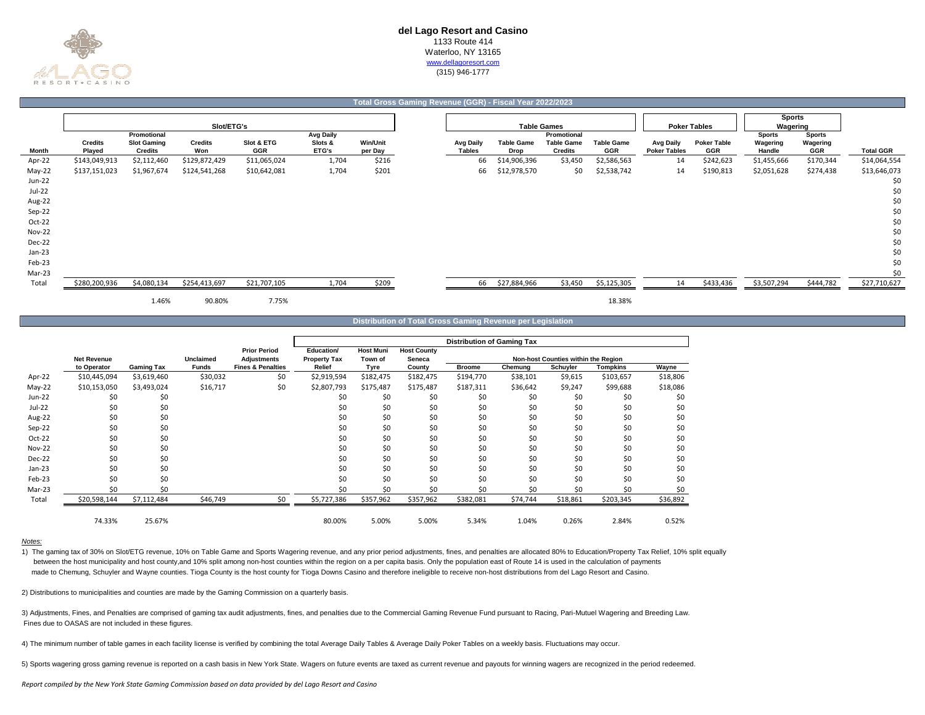

## **Total Gross Gaming Revenue (GGR) - Fiscal Year 2022/2023**

|               |                          |                                      | Slot/ETG's            |                   |                  |                            |                                   |                    | <b>Table Games</b>                  |                                 |                                  | <b>Poker Tables</b>              | <b>Sports</b><br>Wagering |                 |                  |
|---------------|--------------------------|--------------------------------------|-----------------------|-------------------|------------------|----------------------------|-----------------------------------|--------------------|-------------------------------------|---------------------------------|----------------------------------|----------------------------------|---------------------------|-----------------|------------------|
|               |                          | Promotional                          |                       |                   | <b>Avg Daily</b> |                            |                                   |                    | Promotional                         |                                 |                                  |                                  | <b>Sports</b>             | <b>Sports</b>   |                  |
| Month         | <b>Credits</b><br>Played | <b>Slot Gaming</b><br><b>Credits</b> | <b>Credits</b><br>Won | Slot & ETG<br>GGR | Slots &<br>ETG's | <b>Win/Unit</b><br>per Day | <b>Avg Daily</b><br><b>Tables</b> | Table Game<br>Drop | <b>Table Game</b><br><b>Credits</b> | <b>Table Game</b><br><b>GGR</b> | Avg Daily<br><b>Poker Tables</b> | <b>Poker Table</b><br><b>GGR</b> | Wagering<br>Handle        | Wagering<br>GGR | <b>Total GGR</b> |
| Apr-22        | \$143,049,913            | \$2,112,460                          | \$129,872,429         | \$11,065,024      | 1,704            | \$216                      | 66                                | \$14,906,396       | \$3,450                             | \$2,586,563                     | 14                               | \$242,623                        | \$1,455,666               | \$170,344       | \$14,064,554     |
| May-22        | \$137,151,023            | \$1,967,674                          | \$124,541,268         | \$10,642,081      | 1,704            | \$201                      | 66                                | \$12,978,570       | \$0                                 | \$2,538,742                     | 14                               | \$190,813                        | \$2,051,628               | \$274,438       | \$13,646,073     |
| Jun-22        |                          |                                      |                       |                   |                  |                            |                                   |                    |                                     |                                 |                                  |                                  |                           |                 | \$0              |
| Jul-22        |                          |                                      |                       |                   |                  |                            |                                   |                    |                                     |                                 |                                  |                                  |                           |                 | \$0              |
| Aug-22        |                          |                                      |                       |                   |                  |                            |                                   |                    |                                     |                                 |                                  |                                  |                           |                 | \$0              |
| Sep-22        |                          |                                      |                       |                   |                  |                            |                                   |                    |                                     |                                 |                                  |                                  |                           |                 | \$0              |
| Oct-22        |                          |                                      |                       |                   |                  |                            |                                   |                    |                                     |                                 |                                  |                                  |                           |                 | \$0              |
| <b>Nov-22</b> |                          |                                      |                       |                   |                  |                            |                                   |                    |                                     |                                 |                                  |                                  |                           |                 | \$0              |
| Dec-22        |                          |                                      |                       |                   |                  |                            |                                   |                    |                                     |                                 |                                  |                                  |                           |                 | \$0              |
| Jan-23        |                          |                                      |                       |                   |                  |                            |                                   |                    |                                     |                                 |                                  |                                  |                           |                 | \$0              |
| Feb-23        |                          |                                      |                       |                   |                  |                            |                                   |                    |                                     |                                 |                                  |                                  |                           |                 | \$0              |
| Mar-23        |                          |                                      |                       |                   |                  |                            |                                   |                    |                                     |                                 |                                  |                                  |                           |                 | \$0              |
| Total         | \$280,200,936            | \$4,080,134                          | \$254,413,697         | \$21,707,105      | 1,704            | \$209                      | 66                                | \$27,884,966       | \$3,450                             | \$5,125,305                     | 14                               | \$433,436                        | \$3,507,294               | \$444,782       | \$27,710,627     |
|               |                          | 1.46%                                | 90.80%                | 7.75%             |                  |                            |                                   |                    |                                     | 18.38%                          |                                  |                                  |                           |                 |                  |

#### **Distribution of Total Gross Gaming Revenue per Legislation**

|               |                    |                   |                  |                              |                     |                  |                    | <b>Distribution of Gaming Tax</b> |          |                                     |           |          |
|---------------|--------------------|-------------------|------------------|------------------------------|---------------------|------------------|--------------------|-----------------------------------|----------|-------------------------------------|-----------|----------|
|               |                    |                   |                  | <b>Prior Period</b>          | Education/          | <b>Host Muni</b> | <b>Host County</b> |                                   |          |                                     |           |          |
|               | <b>Net Revenue</b> |                   | <b>Unclaimed</b> | <b>Adjustments</b>           | <b>Property Tax</b> | Town of          | Seneca             |                                   |          | Non-host Counties within the Region |           |          |
|               | to Operator        | <b>Gaming Tax</b> | <b>Funds</b>     | <b>Fines &amp; Penalties</b> | Relief              | Tyre             | County             | <b>Broome</b>                     | Chemung  | Schuyler                            | Tompkins  | Wayne    |
| Apr-22        | \$10,445,094       | \$3,619,460       | \$30,032         | \$0                          | \$2,919,594         | \$182,475        | \$182,475          | \$194,770                         | \$38,101 | \$9,615                             | \$103,657 | \$18,806 |
| $May-22$      | \$10,153,050       | \$3,493,024       | \$16,717         | \$0                          | \$2,807,793         | \$175,487        | \$175,487          | \$187,311                         | \$36,642 | \$9,247                             | \$99,688  | \$18,086 |
| Jun-22        | \$0                | \$0               |                  |                              | \$0                 | \$0              | \$0                | \$0                               | \$0      | \$0                                 | \$0       | \$0      |
| Jul-22        | \$0                | \$0               |                  |                              | \$0                 | \$0              | \$0                | \$0                               | \$0      | \$0                                 | \$0       | \$0      |
| Aug-22        | \$0                | \$0               |                  |                              | \$0                 | \$0              | \$0                | \$0                               | \$0      | \$0                                 | \$0       | \$0      |
| Sep-22        | \$0                | \$0               |                  |                              | \$0                 | \$0              | \$0                | \$0                               | \$0      | \$0                                 | \$0       | \$0      |
| Oct-22        | \$0                | \$0               |                  |                              | \$0                 | \$0              | \$0                | \$0                               | \$0      | \$0                                 | \$0       | \$0      |
| <b>Nov-22</b> | \$0                | \$0               |                  |                              | \$0                 | \$0              | \$0                | \$0                               | \$0      | \$0                                 | \$0       | \$0      |
| Dec-22        | \$0                | \$0               |                  |                              | \$0                 | \$0              | \$0                | \$0                               | Ś0       | \$0                                 | \$0       | \$0      |
| Jan-23        | \$0                | Ś0                |                  |                              | \$0                 | \$0              | \$0                | \$0                               | Ś0       | \$0                                 | \$0       | \$0      |
| Feb-23        | \$0                | Ś0                |                  |                              | \$0                 | \$0              | \$0                | \$0                               | Ś0       | \$0                                 | \$0       | \$0      |
| Mar-23        | \$0                | \$0               |                  |                              | \$0                 | \$0              | \$0                | \$0                               | \$0      | \$0                                 | \$0       | \$0      |
| Total         | \$20,598,144       | \$7,112,484       | \$46,749         | \$0                          | \$5,727,386         | \$357,962        | \$357,962          | \$382,081                         | \$74,744 | \$18,861                            | \$203,345 | \$36,892 |
|               | 74.33%             | 25.67%            |                  |                              | 80.00%              | 5.00%            | 5.00%              | 5.34%                             | 1.04%    | 0.26%                               | 2.84%     | 0.52%    |

### *Notes:*

1) The gaming tax of 30% on Slot/ETG revenue, 10% on Table Game and Sports Wagering revenue, and any prior period adjustments, fines, and penalties are allocated 80% to Education/Property Tax Relief, 10% split equally between the host municipality and host county,and 10% split among non-host counties within the region on a per capita basis. Only the population east of Route 14 is used in the calculation of payments made to Chemung, Schuyler and Wayne counties. Tioga County is the host county for Tioga Downs Casino and therefore ineligible to receive non-host distributions from del Lago Resort and Casino.

2) Distributions to municipalities and counties are made by the Gaming Commission on a quarterly basis.

 Fines due to OASAS are not included in these figures. 3) Adjustments, Fines, and Penalties are comprised of gaming tax audit adjustments, fines, and penalties due to the Commercial Gaming Revenue Fund pursuant to Racing, Pari-Mutuel Wagering and Breeding Law.

4) The minimum number of table games in each facility license is verified by combining the total Average Daily Tables & Average Daily Poker Tables on a weekly basis. Fluctuations may occur.

5) Sports wagering gross gaming revenue is reported on a cash basis in New York State. Wagers on future events are taxed as current revenue and payouts for winning wagers are recognized in the period redeemed.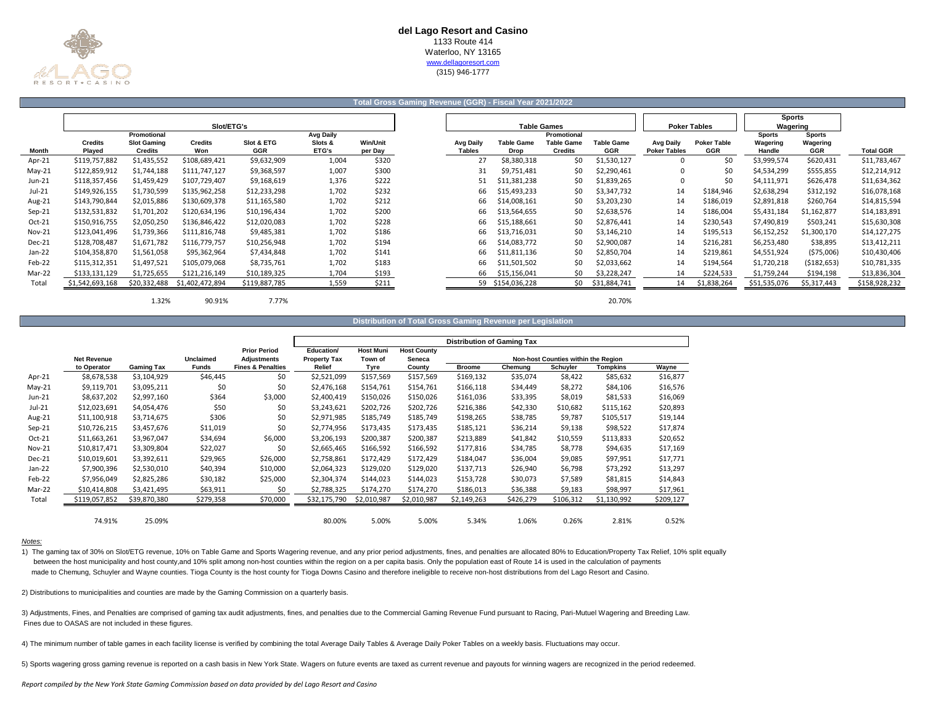

## **Total Gross Gaming Revenue (GGR) - Fiscal Year 2021/2022**

|          |                          |                                      |                       |                          |                  |                            |                                   |                                  |                                     |                                 |                                         |                                  | <b>Sports</b>      |                        |                  |
|----------|--------------------------|--------------------------------------|-----------------------|--------------------------|------------------|----------------------------|-----------------------------------|----------------------------------|-------------------------------------|---------------------------------|-----------------------------------------|----------------------------------|--------------------|------------------------|------------------|
|          |                          |                                      | Slot/ETG's            |                          |                  |                            |                                   |                                  | <b>Table Games</b>                  |                                 |                                         | <b>Poker Tables</b>              | Wagering           |                        |                  |
|          |                          | Promotional                          |                       |                          | <b>Avg Daily</b> |                            |                                   |                                  | Promotional                         |                                 |                                         |                                  | <b>Sports</b>      | <b>Sports</b>          |                  |
| Month    | <b>Credits</b><br>Plaved | <b>Slot Gaming</b><br><b>Credits</b> | <b>Credits</b><br>Won | Slot & ETG<br><b>GGR</b> | Slots &<br>ETG's | <b>Win/Unit</b><br>per Day | <b>Avg Daily</b><br><b>Tables</b> | <b>Table Game</b><br><b>Drop</b> | <b>Table Game</b><br><b>Credits</b> | <b>Table Game</b><br><b>GGR</b> | <b>Avg Daily</b><br><b>Poker Tables</b> | <b>Poker Table</b><br><b>GGR</b> | Wagering<br>Handle | Wagering<br><b>GGR</b> | <b>Total GGR</b> |
| Apr-21   | \$119,757,882            | \$1,435,552                          | \$108,689,421         | \$9,632,909              | 1,004            | \$320                      |                                   | \$8,380,318                      | \$0                                 | \$1,530,127                     |                                         | \$0                              | \$3,999,574        | \$620,431              | \$11,783,467     |
| $May-21$ | \$122,859,912            | \$1,744,188                          | \$111,747,127         | \$9,368,597              | 1,007            | \$300                      | 31                                | \$9,751,481                      | \$0                                 | \$2,290,461                     |                                         | \$0                              | \$4,534,299        | \$555,855              | \$12,214,912     |
| Jun-21   | \$118,357,456            | \$1,459,429                          | \$107,729,407         | \$9,168,619              | 1,376            | \$222                      | 51                                | \$11,381,238                     | \$0                                 | \$1,839,265                     |                                         | \$0                              | \$4,111,971        | \$626,478              | \$11,634,362     |
| Jul-21   | \$149,926,155            | \$1,730,599                          | \$135,962,258         | \$12,233,298             | 1,702            | \$232                      | 66                                | \$15,493,233                     | \$0                                 | \$3,347,732                     | 14                                      | \$184,946                        | \$2,638,294        | \$312,192              | \$16,078,168     |
| Aug-21   | \$143,790,844            | \$2,015,886                          | \$130,609,378         | \$11,165,580             | 1,702            | \$212                      | 66                                | \$14,008,161                     | \$0                                 | \$3,203,230                     | 14                                      | \$186,019                        | \$2,891,818        | \$260,764              | \$14,815,594     |
| $Sep-21$ | \$132,531,832            | \$1,701,202                          | \$120,634,196         | \$10,196,434             | 1,702            | \$200                      | 66                                | \$13,564,655                     | \$0                                 | \$2,638,576                     | 14                                      | \$186,004                        | \$5,431,184        | \$1,162,877            | \$14,183,891     |
| Oct-21   | \$150,916,755            | \$2,050,250                          | \$136,846,422         | \$12,020,083             | 1,702            | \$228                      | 66                                | \$15,188,661                     | \$0                                 | \$2,876,441                     | 14                                      | \$230,543                        | \$7,490,819        | \$503,241              | \$15,630,308     |
| Nov-21   | \$123,041,496            | \$1,739,366                          | \$111,816,748         | \$9,485,381              | 1,702            | \$186                      | 66                                | \$13,716,031                     | \$0                                 | \$3,146,210                     | 14                                      | \$195,513                        | \$6,152,252        | \$1,300,170            | \$14,127,275     |
| Dec-21   | \$128,708,487            | \$1,671,782                          | \$116,779,757         | \$10,256,948             | 1,702            | \$194                      | 66                                | \$14,083,772                     | \$0                                 | \$2,900,087                     | 14                                      | \$216,281                        | \$6,253,480        | \$38,895               | \$13,412,211     |
| Jan-22   | \$104,358,870            | \$1,561,058                          | \$95,362,964          | \$7,434,848              | 1,702            | \$141                      | 66                                | \$11,811,136                     | \$0                                 | \$2,850,704                     | 14                                      | \$219,861                        | \$4,551,924        | ( \$75,006)            | \$10,430,406     |
| Feb-22   | \$115,312,351            | \$1,497,521                          | \$105,079,068         | \$8,735,761              | 1,702            | \$183                      | 66                                | \$11,501,502                     | \$0                                 | \$2,033,662                     | 14                                      | \$194,564                        | \$1,720,218        | (5182, 653)            | \$10,781,335     |
| Mar-22   | \$133,131,129            | \$1,725,655                          | \$121,216,149         | \$10,189,325             | 1,704            | \$193                      | 66                                | \$15,156,041                     | \$0                                 | \$3,228,247                     | 14                                      | \$224,533                        | \$1,759,244        | \$194,198              | \$13,836,304     |
| Total    | \$1,542,693,168          | \$20,332,488                         | \$1,402,472,894       | \$119,887,785            | 1,559            | \$211                      |                                   | 59 \$154,036,228                 | \$0                                 | \$31,884,741                    | 14                                      | \$1,838,264                      | \$51,535,076       | \$5,317,443            | \$158,928,232    |
|          |                          | 1.32%                                | 90.91%                | 7.77%                    |                  |                            |                                   |                                  |                                     | 20.70%                          |                                         |                                  |                    |                        |                  |

|  | Distribution of Total Gross Gaming Revenue per Legislation |  |
|--|------------------------------------------------------------|--|
|  |                                                            |  |

|          |                    |                   |                  |                                           | <b>Distribution of Gaming Tax</b> |                             |                              |               |           |                                     |             |           |
|----------|--------------------|-------------------|------------------|-------------------------------------------|-----------------------------------|-----------------------------|------------------------------|---------------|-----------|-------------------------------------|-------------|-----------|
|          | <b>Net Revenue</b> |                   | <b>Unclaimed</b> | <b>Prior Period</b><br><b>Adjustments</b> | Education/<br><b>Property Tax</b> | <b>Host Muni</b><br>Town of | <b>Host County</b><br>Seneca |               |           | Non-host Counties within the Region |             |           |
|          | to Operator        | <b>Gaming Tax</b> | <b>Funds</b>     | <b>Fines &amp; Penalties</b>              | Relief                            | Tyre                        | County                       | <b>Broome</b> | Chemung   | Schuyler                            | Tompkins    | Wayne     |
| Apr-21   | \$8,678,538        | \$3,104,929       | \$46,445         | \$0                                       | \$2,521,099                       | \$157,569                   | \$157,569                    | \$169,132     | \$35,074  | \$8,422                             | \$85,632    | \$16,877  |
| $May-21$ | \$9,119,701        | \$3,095,211       | \$0              | \$0                                       | \$2,476,168                       | \$154,761                   | \$154,761                    | \$166,118     | \$34,449  | \$8,272                             | \$84,106    | \$16,576  |
| Jun-21   | \$8,637,202        | \$2,997,160       | \$364            | \$3,000                                   | \$2,400,419                       | \$150,026                   | \$150,026                    | \$161,036     | \$33,395  | \$8,019                             | \$81,533    | \$16,069  |
| $Jul-21$ | \$12,023,691       | \$4,054,476       | \$50             | \$0                                       | \$3,243,621                       | \$202,726                   | \$202,726                    | \$216,386     | \$42,330  | \$10,682                            | \$115,162   | \$20,893  |
| Aug-21   | \$11,100,918       | \$3,714,675       | \$306            | \$0                                       | \$2,971,985                       | \$185,749                   | \$185,749                    | \$198,265     | \$38,785  | \$9,787                             | \$105,517   | \$19,144  |
| $Sep-21$ | \$10,726,215       | \$3,457,676       | \$11,019         | \$0                                       | \$2,774,956                       | \$173,435                   | \$173,435                    | \$185,121     | \$36,214  | \$9,138                             | \$98,522    | \$17,874  |
| Oct-21   | \$11,663,261       | \$3,967,047       | \$34,694         | \$6,000                                   | \$3,206,193                       | \$200,387                   | \$200,387                    | \$213,889     | \$41,842  | \$10,559                            | \$113,833   | \$20,652  |
| Nov-21   | \$10,817,471       | \$3,309,804       | \$22,027         | \$0                                       | \$2,665,465                       | \$166,592                   | \$166,592                    | \$177,816     | \$34,785  | \$8,778                             | \$94,635    | \$17,169  |
| Dec-21   | \$10,019,601       | \$3,392,611       | \$29,965         | \$26,000                                  | \$2,758,861                       | \$172,429                   | \$172,429                    | \$184,047     | \$36,004  | \$9,085                             | \$97,951    | \$17,771  |
| Jan-22   | \$7,900,396        | \$2,530,010       | \$40,394         | \$10,000                                  | \$2,064,323                       | \$129,020                   | \$129,020                    | \$137,713     | \$26,940  | \$6,798                             | \$73,292    | \$13,297  |
| Feb-22   | \$7,956,049        | \$2,825,286       | \$30,182         | \$25,000                                  | \$2,304,374                       | \$144,023                   | \$144,023                    | \$153,728     | \$30,073  | \$7,589                             | \$81,815    | \$14,843  |
| Mar-22   | \$10,414,808       | \$3,421,495       | \$63,911         | \$0                                       | \$2,788,325                       | \$174.270                   | \$174,270                    | \$186,013     | \$36,388  | \$9,183                             | \$98,997    | \$17,961  |
| Total    | \$119,057,852      | \$39,870,380      | \$279,358        | \$70,000                                  | \$32,175,790                      | \$2,010,987                 | \$2,010,987                  | \$2,149,263   | \$426,279 | \$106,312                           | \$1,130,992 | \$209,127 |
|          | 74.91%             | 25.09%            |                  |                                           | 80.00%                            | 5.00%                       | 5.00%                        | 5.34%         | 1.06%     | 0.26%                               | 2.81%       | 0.52%     |

### *Notes:*

1) The gaming tax of 30% on Slot/ETG revenue, 10% on Table Game and Sports Wagering revenue, and any prior period adjustments, fines, and penalties are allocated 80% to Education/Property Tax Relief, 10% split equally between the host municipality and host county,and 10% split among non-host counties within the region on a per capita basis. Only the population east of Route 14 is used in the calculation of payments made to Chemung, Schuyler and Wayne counties. Tioga County is the host county for Tioga Downs Casino and therefore ineligible to receive non-host distributions from del Lago Resort and Casino.

2) Distributions to municipalities and counties are made by the Gaming Commission on a quarterly basis.

 Fines due to OASAS are not included in these figures. 3) Adjustments, Fines, and Penalties are comprised of gaming tax audit adjustments, fines, and penalties due to the Commercial Gaming Revenue Fund pursuant to Racing, Pari-Mutuel Wagering and Breeding Law.

4) The minimum number of table games in each facility license is verified by combining the total Average Daily Tables & Average Daily Poker Tables on a weekly basis. Fluctuations may occur.

5) Sports wagering gross gaming revenue is reported on a cash basis in New York State. Wagers on future events are taxed as current revenue and payouts for winning wagers are recognized in the period redeemed.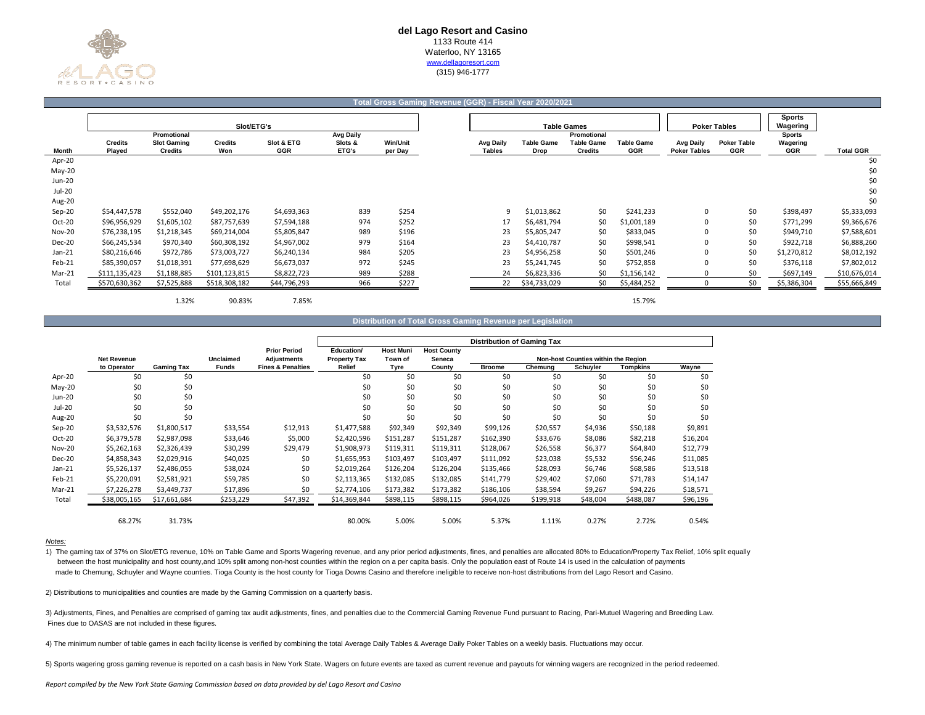

#### **Total Gross Gaming Revenue (GGR) - Fiscal Year 2020/2021**

|               |                          | Slot/ETG's<br>Promotional            |                       |                          |                                      |                 |                            |                           | <b>Table Games</b>                                 |                                 |                                         | <b>Poker Tables</b>              | <b>Sports</b><br>Wagering               |  |
|---------------|--------------------------|--------------------------------------|-----------------------|--------------------------|--------------------------------------|-----------------|----------------------------|---------------------------|----------------------------------------------------|---------------------------------|-----------------------------------------|----------------------------------|-----------------------------------------|--|
| Month         | <b>Credits</b><br>Played | <b>Slot Gaming</b><br><b>Credits</b> | <b>Credits</b><br>Won | Slot & ETG<br><b>GGR</b> | <b>Avg Daily</b><br>Slots &<br>ETG's | <b>Win/Unit</b> | Avg Daily<br><b>Tables</b> | <b>Table Game</b><br>Drop | Promotional<br><b>Table Game</b><br><b>Credits</b> | <b>Table Game</b><br><b>GGR</b> | <b>Avg Daily</b><br><b>Poker Tables</b> | <b>Poker Table</b><br><b>GGR</b> | <b>Sports</b><br>Wagering<br><b>GGR</b> |  |
| Apr-20        |                          |                                      |                       |                          |                                      | per Day         |                            |                           |                                                    |                                 |                                         |                                  |                                         |  |
| May-20        |                          |                                      |                       |                          |                                      |                 |                            |                           |                                                    |                                 |                                         |                                  |                                         |  |
| Jun-20        |                          |                                      |                       |                          |                                      |                 |                            |                           |                                                    |                                 |                                         |                                  |                                         |  |
| Jul-20        |                          |                                      |                       |                          |                                      |                 |                            |                           |                                                    |                                 |                                         |                                  |                                         |  |
| Aug-20        |                          |                                      |                       |                          |                                      |                 |                            |                           |                                                    |                                 |                                         |                                  |                                         |  |
| Sep-20        | \$54,447,578             | \$552,040                            | \$49,202,176          | \$4,693,363              | 839                                  | \$254           | 9                          | \$1,013,862               | \$0                                                | \$241,233                       |                                         | \$0                              | \$398,497                               |  |
| Oct-20        | \$96,956,929             | \$1,605,102                          | \$87,757,639          | \$7,594,188              | 974                                  | \$252           | 17                         | \$6,481,794               | \$0                                                | \$1,001,189                     |                                         | \$0                              | \$771,299                               |  |
| <b>Nov-20</b> | \$76,238,195             | \$1,218,345                          | \$69,214,004          | \$5,805,847              | 989                                  | \$196           | 23                         | \$5,805,247               | \$0                                                | \$833,045                       |                                         | \$0                              | \$949,710                               |  |
| Dec-20        | \$66,245,534             | \$970,340                            | \$60,308,192          | \$4,967,002              | 979                                  | \$164           | 23                         | \$4,410,787               | \$0                                                | \$998,541                       |                                         | \$0                              | \$922,718                               |  |
| $Jan-21$      | \$80,216,646             | \$972,786                            | \$73,003,727          | \$6,240,134              | 984                                  | \$205           | 23                         | \$4,956,258               | \$0                                                | \$501,246                       |                                         | \$0                              | \$1,270,812                             |  |
| Feb-21        | \$85,390,057             | \$1,018,391                          | \$77,698,629          | \$6,673,037              | 972                                  | \$245           | 23                         | \$5,241,745               | \$0                                                | \$752,858                       |                                         | Ś0                               | \$376,118                               |  |
| Mar-21        | \$111,135,423            | \$1,188,885                          | \$101,123,815         | \$8,822,723              | 989                                  | \$288           | 24                         | \$6,823,336               | \$0                                                | \$1,156,142                     |                                         | \$0                              | \$697,149                               |  |
| Total         | \$570,630,362            | \$7,525,888                          | \$518,308,182         | \$44,796,293             | 966                                  | \$227           | 22                         | \$34,733,029              | \$0                                                | \$5,484,252                     |                                         | \$0                              | \$5,386,304                             |  |

1.32% 90.83% 7.85% 15.79%

| Distribution of Total Gross Gaming Revenue per Legislation |
|------------------------------------------------------------|
|------------------------------------------------------------|

|               |                    |                   |                  |                              |                     | <b>Distribution of Gaming Tax</b> |                    |               |           |                                     |                 |          |
|---------------|--------------------|-------------------|------------------|------------------------------|---------------------|-----------------------------------|--------------------|---------------|-----------|-------------------------------------|-----------------|----------|
|               |                    |                   |                  | <b>Prior Period</b>          | Education/          | <b>Host Muni</b>                  | <b>Host County</b> |               |           |                                     |                 |          |
|               | <b>Net Revenue</b> |                   | <b>Unclaimed</b> | <b>Adjustments</b>           | <b>Property Tax</b> | Town of                           | Seneca             |               |           | Non-host Counties within the Region |                 |          |
|               | to Operator        | <b>Gaming Tax</b> | <b>Funds</b>     | <b>Fines &amp; Penalties</b> | Relief              | Tyre                              | County             | <b>Broome</b> | Chemung   | Schuyler                            | <b>Tompkins</b> | Wayne    |
| Apr-20        | \$0                | \$0               |                  |                              | \$0                 | \$0                               | \$0                | \$0           | \$0       | \$0                                 | \$0             | \$0      |
| $May-20$      | \$0                | \$0               |                  |                              | \$0                 | \$0                               | \$0                | \$0           | \$0       | \$0                                 | \$0             | \$0      |
| Jun-20        | \$0                | \$0               |                  |                              | \$0                 | \$0                               | \$0                | \$0           | \$0       | \$0                                 | \$0             | \$0      |
| Jul-20        | \$0                | \$0               |                  |                              | \$0                 | \$0                               | \$0                | \$0           | \$0       | \$0                                 | \$0             | \$0      |
| Aug-20        | \$0                | \$0               |                  |                              | \$0                 | \$0                               | \$0                | \$0           | \$0       | \$0                                 | \$0             | \$0      |
| Sep-20        | \$3,532,576        | \$1,800,517       | \$33,554         | \$12,913                     | \$1,477,588         | \$92,349                          | \$92,349           | \$99,126      | \$20,557  | \$4,936                             | \$50,188        | \$9,891  |
| Oct-20        | \$6,379,578        | \$2,987,098       | \$33,646         | \$5,000                      | \$2,420,596         | \$151,287                         | \$151,287          | \$162,390     | \$33,676  | \$8,086                             | \$82,218        | \$16,204 |
| <b>Nov-20</b> | \$5,262,163        | \$2,326,439       | \$30,299         | \$29,479                     | \$1,908,973         | \$119,311                         | \$119,311          | \$128,067     | \$26,558  | \$6,377                             | \$64,840        | \$12,779 |
| Dec-20        | \$4,858,343        | \$2,029,916       | \$40,025         | \$0                          | \$1,655,953         | \$103,497                         | \$103,497          | \$111,092     | \$23,038  | \$5,532                             | \$56,246        | \$11,085 |
| Jan-21        | \$5,526,137        | \$2,486,055       | \$38,024         | \$0                          | \$2,019,264         | \$126,204                         | \$126,204          | \$135,466     | \$28,093  | \$6,746                             | \$68,586        | \$13,518 |
| Feb-21        | \$5,220,091        | \$2,581,921       | \$59,785         | \$0                          | \$2,113,365         | \$132,085                         | \$132,085          | \$141,779     | \$29,402  | \$7,060                             | \$71,783        | \$14,147 |
| Mar-21        | \$7,226,278        | \$3,449,737       | \$17,896         | \$0                          | \$2,774,106         | \$173,382                         | \$173,382          | \$186,106     | \$38,594  | \$9,267                             | \$94,226        | \$18,571 |
| Total         | \$38,005,165       | \$17,661,684      | \$253,229        | \$47,392                     | \$14,369,844        | \$898,115                         | \$898,115          | \$964,026     | \$199,918 | \$48,004                            | \$488,087       | \$96,196 |
|               |                    |                   |                  |                              |                     |                                   |                    |               |           |                                     |                 |          |
|               | 68.27%             | 31.73%            |                  |                              | 80.00%              | 5.00%                             | 5.00%              | 5.37%         | 1.11%     | 0.27%                               | 2.72%           | 0.54%    |

### *Notes:*

1) The gaming tax of 37% on Slot/ETG revenue, 10% on Table Game and Sports Wagering revenue, and any prior period adjustments, fines, and penalties are allocated 80% to Education/Property Tax Relief, 10% split equally between the host municipality and host county,and 10% split among non-host counties within the region on a per capita basis. Only the population east of Route 14 is used in the calculation of payments made to Chemung, Schuyler and Wayne counties. Tioga County is the host county for Tioga Downs Casino and therefore ineligible to receive non-host distributions from del Lago Resort and Casino.

2) Distributions to municipalities and counties are made by the Gaming Commission on a quarterly basis.

 Fines due to OASAS are not included in these figures. 3) Adjustments, Fines, and Penalties are comprised of gaming tax audit adjustments, fines, and penalties due to the Commercial Gaming Revenue Fund pursuant to Racing, Pari-Mutuel Wagering and Breeding Law.

4) The minimum number of table games in each facility license is verified by combining the total Average Daily Tables & Average Daily Poker Tables on a weekly basis. Fluctuations may occur.

5) Sports wagering gross gaming revenue is reported on a cash basis in New York State. Wagers on future events are taxed as current revenue and payouts for winning wagers are recognized in the period redeemed.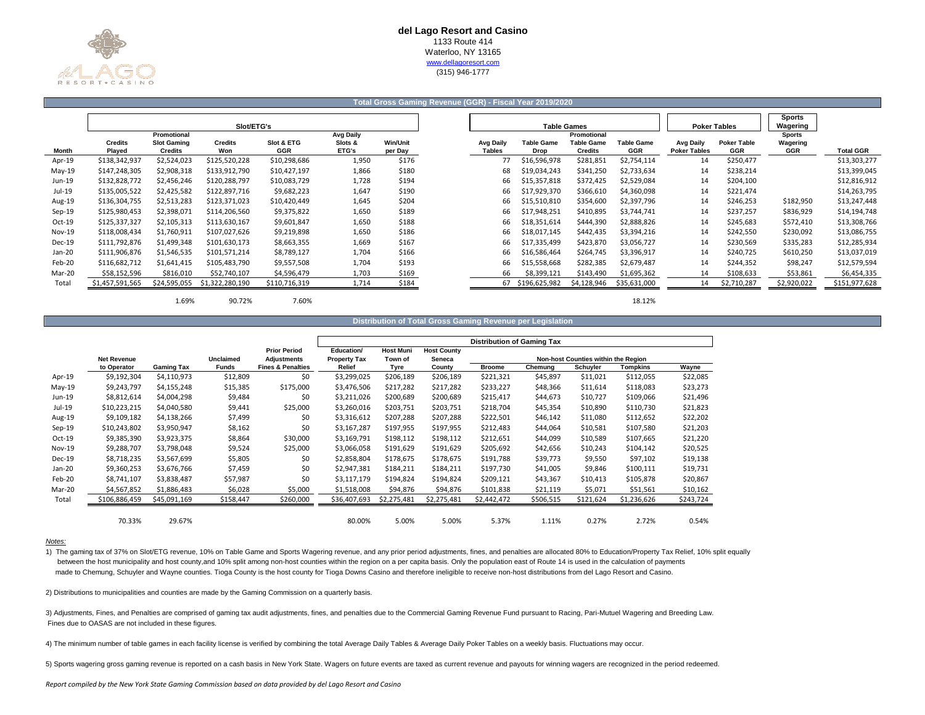

## **Total Gross Gaming Revenue (GGR) - Fiscal Year 2019/2020**

|               |                          |                                                     | Slot/ETG's      |                          |                                      |                            |                                   |                    | <b>Table Games</b>                                 |                                 |                                         | <b>Poker Tables</b>              | <b>Sports</b><br>Wagering               |                  |
|---------------|--------------------------|-----------------------------------------------------|-----------------|--------------------------|--------------------------------------|----------------------------|-----------------------------------|--------------------|----------------------------------------------------|---------------------------------|-----------------------------------------|----------------------------------|-----------------------------------------|------------------|
| Month         | <b>Credits</b><br>Played | Promotional<br><b>Slot Gaming</b><br><b>Credits</b> | Credits<br>Won  | Slot & ETG<br><b>GGR</b> | <b>Avg Daily</b><br>Slots &<br>ETG's | <b>Win/Unit</b><br>per Day | <b>Avg Daily</b><br><b>Tables</b> | Table Game<br>Drop | Promotional<br><b>Table Game</b><br><b>Credits</b> | <b>Table Game</b><br><b>GGR</b> | <b>Avg Daily</b><br><b>Poker Tables</b> | <b>Poker Table</b><br><b>GGR</b> | <b>Sports</b><br>Wagering<br><b>GGR</b> | <b>Total GGR</b> |
| Apr-19        | \$138,342,937            | \$2,524,023                                         | \$125,520,228   | \$10,298,686             | 1,950                                | \$176                      | 77                                | \$16,596,978       | \$281,851                                          | \$2,754,114                     | 14                                      | \$250,477                        |                                         | \$13,303,277     |
| $May-19$      | \$147,248,305            | \$2,908,318                                         | \$133,912,790   | \$10,427,197             | 1,866                                | \$180                      | 68                                | \$19,034,243       | \$341,250                                          | \$2,733,634                     | 14                                      | \$238,214                        |                                         | \$13,399,045     |
| Jun-19        | \$132,828,772            | \$2,456,246                                         | \$120,288,797   | \$10,083,729             | 1,728                                | \$194                      | 66                                | \$15,357,818       | \$372,425                                          | \$2,529,084                     | 14                                      | \$204,100                        |                                         | \$12,816,912     |
| Jul-19        | \$135,005,522            | \$2,425,582                                         | \$122,897,716   | \$9,682,223              | 1,647                                | \$190                      | 66                                | \$17,929,370       | \$366,610                                          | \$4,360,098                     | 14                                      | \$221,474                        |                                         | \$14,263,795     |
| Aug-19        | \$136,304,755            | \$2,513,283                                         | \$123,371,023   | \$10,420,449             | 1,645                                | \$204                      | 66                                | \$15,510,810       | \$354,600                                          | \$2,397,796                     | 14                                      | \$246,253                        | \$182,950                               | \$13,247,448     |
| $Sep-19$      | \$125,980,453            | \$2,398,071                                         | \$114,206,560   | \$9,375,822              | 1,650                                | \$189                      | 66                                | \$17,948,251       | \$410,895                                          | \$3,744,741                     | 14                                      | \$237,257                        | \$836,929                               | \$14,194,748     |
| $Oct-19$      | \$125,337,327            | \$2,105,313                                         | \$113,630,167   | \$9,601,847              | 1,650                                | \$188                      | 66                                | \$18,351,614       | \$444,390                                          | \$2,888,826                     | 14                                      | \$245,683                        | \$572,410                               | \$13,308,766     |
| <b>Nov-19</b> | \$118,008,434            | \$1,760,911                                         | \$107,027,626   | \$9,219,898              | 1,650                                | \$186                      | 66                                | \$18,017,145       | \$442,435                                          | \$3,394,216                     | 14                                      | \$242,550                        | \$230,092                               | \$13,086,755     |
| Dec-19        | \$111,792,876            | \$1,499,348                                         | \$101,630,173   | \$8,663,355              | 1,669                                | \$167                      | 66                                | \$17,335,499       | \$423,870                                          | \$3,056,727                     | 14                                      | \$230,569                        | \$335,283                               | \$12,285,934     |
| Jan-20        | \$111,906,876            | \$1,546,535                                         | \$101,571,214   | \$8,789,127              | 1,704                                | \$166                      | 66                                | \$16,586,464       | \$264.745                                          | \$3,396,917                     | 14                                      | \$240,725                        | \$610,250                               | \$13,037,019     |
| Feb-20        | \$116,682,712            | \$1,641,415                                         | \$105,483,790   | \$9,557,508              | 1,704                                | \$193                      | 66                                | \$15,558,668       | \$282,385                                          | \$2,679,487                     | 14                                      | \$244,352                        | \$98,247                                | \$12,579,594     |
| Mar-20        | \$58,152,596             | \$816,010                                           | \$52,740,107    | \$4,596,479              | 1,703                                | \$169                      | 66                                | \$8,399,121        | \$143,490                                          | \$1,695,362                     | 14                                      | \$108,633                        | \$53,861                                | \$6,454,335      |
| Total         | \$1,457,591,565          | \$24,595,055                                        | \$1,322,280,190 | \$110,716,319            | 1,714                                | \$184                      | 67                                | \$196,625,982      | \$4,128,946                                        | \$35,631,000                    | 14                                      | \$2,710,287                      | \$2,920,022                             | \$151,977,628    |
|               |                          |                                                     |                 |                          |                                      |                            |                                   |                    |                                                    |                                 |                                         |                                  |                                         |                  |

1.69% 90.72% 7.60% 18.12%

**Distribution of Total Gross Gaming Revenue per Legislation**

|          |                    |                   |                  |                              | <b>Distribution of Gaming Tax</b> |                  |                    |               |           |                                     |                 |           |
|----------|--------------------|-------------------|------------------|------------------------------|-----------------------------------|------------------|--------------------|---------------|-----------|-------------------------------------|-----------------|-----------|
|          |                    |                   |                  | <b>Prior Period</b>          | Education/                        | <b>Host Muni</b> | <b>Host County</b> |               |           |                                     |                 |           |
|          | <b>Net Revenue</b> |                   | <b>Unclaimed</b> | <b>Adjustments</b>           | <b>Property Tax</b>               | Town of          | Seneca             |               |           | Non-host Counties within the Region |                 |           |
|          | to Operator        | <b>Gaming Tax</b> | <b>Funds</b>     | <b>Fines &amp; Penalties</b> | Relief                            | Tyre             | County             | <b>Broome</b> | Chemuna   | Schuyler                            | <b>Tompkins</b> | Wayne     |
| Apr-19   | \$9,192,304        | \$4,110,973       | \$12,809         | \$0                          | \$3,299,025                       | \$206,189        | \$206,189          | \$221,321     | \$45,897  | \$11,021                            | \$112,055       | \$22,085  |
| $May-19$ | \$9,243,797        | \$4,155,248       | \$15,385         | \$175,000                    | \$3,476,506                       | \$217,282        | \$217,282          | \$233,227     | \$48,366  | \$11,614                            | \$118,083       | \$23,273  |
| Jun-19   | \$8,812,614        | \$4,004,298       | \$9,484          | \$0                          | \$3,211,026                       | \$200,689        | \$200,689          | \$215,417     | \$44,673  | \$10,727                            | \$109,066       | \$21,496  |
| Jul-19   | \$10,223,215       | \$4,040,580       | \$9,441          | \$25,000                     | \$3,260,016                       | \$203,751        | \$203,751          | \$218,704     | \$45,354  | \$10,890                            | \$110,730       | \$21,823  |
| Aug-19   | \$9,109,182        | \$4,138,266       | \$7,499          | \$0                          | \$3,316,612                       | \$207,288        | \$207,288          | \$222,501     | \$46,142  | \$11,080                            | \$112,652       | \$22,202  |
| Sep-19   | \$10,243,802       | \$3,950,947       | \$8,162          | \$0                          | \$3,167,287                       | \$197,955        | \$197,955          | \$212,483     | \$44,064  | \$10,581                            | \$107,580       | \$21,203  |
| Oct-19   | \$9,385,390        | \$3,923,375       | \$8,864          | \$30,000                     | \$3,169,791                       | \$198,112        | \$198,112          | \$212,651     | \$44,099  | \$10,589                            | \$107,665       | \$21,220  |
| Nov-19   | \$9,288,707        | \$3,798,048       | \$9,524          | \$25,000                     | \$3,066,058                       | \$191,629        | \$191,629          | \$205,692     | \$42,656  | \$10,243                            | \$104,142       | \$20,525  |
| $Dec-19$ | \$8,718,235        | \$3,567,699       | \$5,805          | \$0                          | \$2,858,804                       | \$178.675        | \$178,675          | \$191,788     | \$39,773  | \$9,550                             | \$97,102        | \$19,138  |
| Jan-20   | \$9,360,253        | \$3,676,766       | \$7,459          | \$0                          | \$2,947,381                       | \$184,211        | \$184,211          | \$197,730     | \$41,005  | \$9,846                             | \$100,111       | \$19,731  |
| Feb-20   | \$8,741,107        | \$3.838.487       | \$57,987         | \$0                          | \$3,117,179                       | \$194,824        | \$194,824          | \$209,121     | \$43,367  | \$10,413                            | \$105,878       | \$20,867  |
| Mar-20   | \$4,567,852        | \$1,886,483       | \$6,028          | \$5,000                      | \$1,518,008                       | \$94,876         | \$94,876           | \$101,838     | \$21,119  | \$5,071                             | \$51,561        | \$10,162  |
| Total    | \$106,886,459      | \$45,091,169      | \$158,447        | \$260,000                    | \$36,407,693                      | \$2,275,481      | \$2,275,481        | \$2,442,472   | \$506,515 | \$121,624                           | \$1,236,626     | \$243,724 |
|          |                    |                   |                  |                              |                                   |                  |                    |               |           |                                     |                 |           |
|          | 70.33%             | 29.67%            |                  |                              | 80.00%                            | 5.00%            | 5.00%              | 5.37%         | 1.11%     | 0.27%                               | 2.72%           | 0.54%     |

### *Notes:*

1) The gaming tax of 37% on Slot/ETG revenue, 10% on Table Game and Sports Wagering revenue, and any prior period adjustments, fines, and penalties are allocated 80% to Education/Property Tax Relief, 10% split equally between the host municipality and host county,and 10% split among non-host counties within the region on a per capita basis. Only the population east of Route 14 is used in the calculation of payments made to Chemung, Schuyler and Wayne counties. Tioga County is the host county for Tioga Downs Casino and therefore ineligible to receive non-host distributions from del Lago Resort and Casino.

2) Distributions to municipalities and counties are made by the Gaming Commission on a quarterly basis.

 Fines due to OASAS are not included in these figures. 3) Adjustments, Fines, and Penalties are comprised of gaming tax audit adjustments, fines, and penalties due to the Commercial Gaming Revenue Fund pursuant to Racing, Pari-Mutuel Wagering and Breeding Law.

4) The minimum number of table games in each facility license is verified by combining the total Average Daily Tables & Average Daily Poker Tables on a weekly basis. Fluctuations may occur.

5) Sports wagering gross gaming revenue is reported on a cash basis in New York State. Wagers on future events are taxed as current revenue and payouts for winning wagers are recognized in the period redeemed.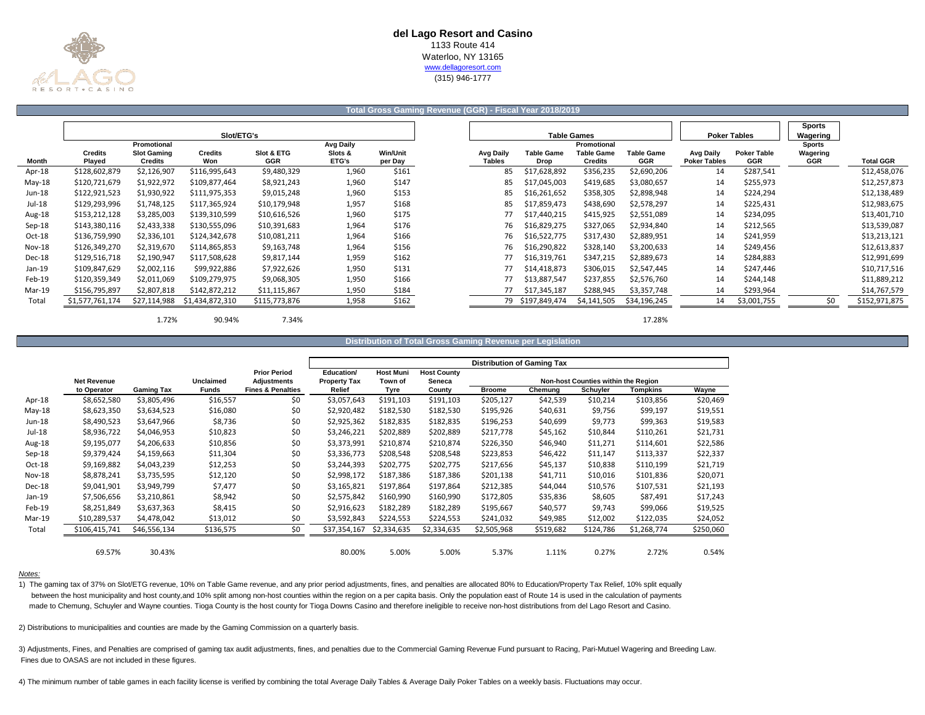

# **Total Gross Gaming Revenue (GGR) - Fiscal Year 2018/2019**

|               |                 |                    |                 |               |                  |                 |                  |                   |                    |                   |                     |                     | <b>Sports</b> |                  |
|---------------|-----------------|--------------------|-----------------|---------------|------------------|-----------------|------------------|-------------------|--------------------|-------------------|---------------------|---------------------|---------------|------------------|
|               |                 |                    | Slot/ETG's      |               |                  |                 |                  |                   | <b>Table Games</b> |                   |                     | <b>Poker Tables</b> | Wagering      |                  |
|               |                 | Promotional        |                 |               | <b>Avg Daily</b> |                 |                  |                   | Promotional        |                   |                     |                     | <b>Sports</b> |                  |
|               | <b>Credits</b>  | <b>Slot Gaming</b> | <b>Credits</b>  | Slot & ETG    | Slots &          | <b>Win/Unit</b> | <b>Avg Daily</b> | <b>Table Game</b> | <b>Table Game</b>  | <b>Table Game</b> | <b>Avg Daily</b>    | <b>Poker Table</b>  | Wagering      |                  |
| Month         | Played          | <b>Credits</b>     | Won             | GGR           | <b>ETG's</b>     | per Day         | <b>Tables</b>    | Drop              | <b>Credits</b>     | GGR               | <b>Poker Tables</b> | GGR                 | GGR           | <b>Total GGR</b> |
| Apr-18        | \$128,602,879   | \$2,126,907        | \$116,995,643   | \$9,480,329   | 1,960            | \$161           | 85               | \$17,628,892      | \$356,235          | \$2,690,206       | 14                  | \$287,541           |               | \$12,458,076     |
| $May-18$      | \$120,721,679   | \$1,922,972        | \$109,877,464   | \$8,921,243   | 1,960            | \$147           | 85               | \$17,045,003      | \$419,685          | \$3,080,657       | 14                  | \$255,973           |               | \$12,257,873     |
| Jun-18        | \$122,921,523   | \$1,930,922        | \$111,975,353   | \$9,015,248   | 1,960            | \$153           | 85               | \$16,261,652      | \$358,305          | \$2,898,948       | 14                  | \$224,294           |               | \$12,138,489     |
| Jul-18        | \$129,293,996   | \$1,748,125        | \$117,365,924   | \$10,179,948  | 1,957            | \$168           | 85               | \$17,859,473      | \$438,690          | \$2,578,297       | 14                  | \$225,431           |               | \$12,983,675     |
| Aug-18        | \$153,212,128   | \$3,285,003        | \$139,310,599   | \$10,616,526  | 1,960            | \$175           | 77               | \$17,440,215      | \$415,925          | \$2,551,089       | 14                  | \$234,095           |               | \$13,401,710     |
| Sep-18        | \$143,380,116   | \$2,433,338        | \$130,555,096   | \$10,391,683  | 1,964            | \$176           | 76               | \$16,829,275      | \$327,065          | \$2,934,840       | 14                  | \$212,565           |               | \$13,539,087     |
| Oct-18        | \$136,759,990   | \$2,336,101        | \$124,342,678   | \$10,081,211  | 1,964            | \$166           | 76               | \$16,522,775      | \$317,430          | \$2,889,951       | 14                  | \$241,959           |               | \$13,213,121     |
| <b>Nov-18</b> | \$126,349,270   | \$2,319,670        | \$114,865,853   | \$9,163,748   | 1,964            | \$156           | 76               | \$16,290,822      | \$328,140          | \$3,200,633       | 14                  | \$249,456           |               | \$12,613,837     |
| Dec-18        | \$129,516,718   | \$2,190,947        | \$117,508,628   | \$9,817,144   | 1,959            | \$162           | 77               | \$16,319,761      | \$347,215          | \$2,889,673       | 14                  | \$284,883           |               | \$12,991,699     |
| $Jan-19$      | \$109,847,629   | \$2,002,116        | \$99,922,886    | \$7,922,626   | 1,950            | \$131           | 77               | \$14,418,873      | \$306,015          | \$2,547,445       | 14                  | \$247,446           |               | \$10,717,516     |
| Feb-19        | \$120,359,349   | \$2,011,069        | \$109,279,975   | \$9,068,305   | 1,950            | \$166           | 77               | \$13,887,547      | \$237,855          | \$2,576,760       | 14                  | \$244,148           |               | \$11,889,212     |
| Mar-19        | \$156,795,897   | \$2,807,818        | \$142,872,212   | \$11,115,867  | 1,950            | \$184           |                  | \$17,345,187      | \$288,945          | \$3,357,748       | 14                  | \$293,964           |               | \$14,767,579     |
| Total         | \$1,577,761,174 | \$27,114,988       | \$1,434,872,310 | \$115,773,876 | 1,958            | \$162           |                  | 79 \$197,849,474  | \$4,141,505        | \$34,196,245      | 14                  | \$3,001,755         | \$0           | \$152,971,875    |
|               |                 |                    |                 |               |                  |                 |                  |                   |                    |                   |                     |                     |               |                  |

1.72% 90.94% 7.34% 17.28%

# **Distribution of Total Gross Gaming Revenue per Legislation**

|               |                    |                   |                  |                              |                     |                  |                    | <b>Distribution of Gaming Tax</b> |           |                                     |             |           |
|---------------|--------------------|-------------------|------------------|------------------------------|---------------------|------------------|--------------------|-----------------------------------|-----------|-------------------------------------|-------------|-----------|
|               |                    |                   |                  | <b>Prior Period</b>          | Education/          | <b>Host Muni</b> | <b>Host County</b> |                                   |           |                                     |             |           |
|               | <b>Net Revenue</b> |                   | <b>Unclaimed</b> | <b>Adjustments</b>           | <b>Property Tax</b> | Town of          | Seneca             |                                   |           | Non-host Counties within the Region |             |           |
|               | to Operator        | <b>Gaming Tax</b> | <b>Funds</b>     | <b>Fines &amp; Penalties</b> | Relief              | Tyre             | County             | <b>Broome</b>                     | Chemung   | Schuyler                            | Tompkins    | Wayne     |
| Apr-18        | \$8,652,580        | \$3,805,496       | \$16,557         | \$0                          | \$3,057,643         | \$191,103        | \$191,103          | \$205,127                         | \$42,539  | \$10,214                            | \$103,856   | \$20,469  |
| $May-18$      | \$8,623,350        | \$3,634,523       | \$16,080         | \$0                          | \$2,920,482         | \$182,530        | \$182,530          | \$195,926                         | \$40,631  | \$9,756                             | \$99,197    | \$19,551  |
| Jun-18        | \$8,490,523        | \$3,647,966       | \$8,736          | \$0                          | \$2,925,362         | \$182,835        | \$182,835          | \$196,253                         | \$40,699  | \$9,773                             | \$99,363    | \$19,583  |
| Jul-18        | \$8,936,722        | \$4,046,953       | \$10,823         | \$0                          | \$3,246,221         | \$202,889        | \$202,889          | \$217,778                         | \$45,162  | \$10,844                            | \$110,261   | \$21,731  |
| Aug-18        | \$9,195,077        | \$4,206,633       | \$10,856         | \$0                          | \$3,373,991         | \$210,874        | \$210,874          | \$226,350                         | \$46,940  | \$11,271                            | \$114,601   | \$22,586  |
| Sep-18        | \$9,379,424        | \$4,159,663       | \$11,304         | \$0                          | \$3,336,773         | \$208,548        | \$208,548          | \$223,853                         | \$46,422  | \$11,147                            | \$113,337   | \$22,337  |
| Oct-18        | \$9,169,882        | \$4,043,239       | \$12,253         | \$0                          | \$3,244,393         | \$202,775        | \$202,775          | \$217,656                         | \$45,137  | \$10,838                            | \$110,199   | \$21,719  |
| <b>Nov-18</b> | \$8,878,241        | \$3,735,595       | \$12,120         | \$0                          | \$2,998,172         | \$187,386        | \$187,386          | \$201,138                         | \$41,711  | \$10,016                            | \$101,836   | \$20,071  |
| Dec-18        | \$9,041,901        | \$3,949,799       | \$7,477          | \$0                          | \$3,165,821         | \$197,864        | \$197,864          | \$212,385                         | \$44,044  | \$10,576                            | \$107,531   | \$21,193  |
| Jan-19        | \$7,506,656        | \$3,210,861       | \$8,942          | \$0                          | \$2,575,842         | \$160,990        | \$160,990          | \$172,805                         | \$35,836  | \$8,605                             | \$87,491    | \$17,243  |
| Feb-19        | \$8,251,849        | \$3,637,363       | \$8,415          | \$0                          | \$2,916,623         | \$182,289        | \$182,289          | \$195,667                         | \$40,577  | \$9,743                             | \$99,066    | \$19,525  |
| Mar-19        | \$10,289,537       | \$4,478,042       | \$13,012         | \$0                          | \$3,592,843         | \$224,553        | \$224,553          | \$241,032                         | \$49,985  | \$12,002                            | \$122,035   | \$24,052  |
| Total         | \$106,415,741      | \$46,556,134      | \$136,575        | \$0                          | \$37,354,167        | \$2,334,635      | \$2,334,635        | \$2,505,968                       | \$519,682 | \$124,786                           | \$1,268,774 | \$250,060 |
|               |                    |                   |                  |                              |                     |                  |                    |                                   |           |                                     |             |           |
|               | 69.57%             | 30.43%            |                  |                              | 80.00%              | 5.00%            | 5.00%              | 5.37%                             | 1.11%     | 0.27%                               | 2.72%       | 0.54%     |

#### *Notes:*

1) The gaming tax of 37% on Slot/ETG revenue, 10% on Table Game revenue, and any prior period adjustments, fines, and penalties are allocated 80% to Education/Property Tax Relief, 10% split equally between the host municipality and host county,and 10% split among non-host counties within the region on a per capita basis. Only the population east of Route 14 is used in the calculation of payments made to Chemung, Schuyler and Wayne counties. Tioga County is the host county for Tioga Downs Casino and therefore ineligible to receive non-host distributions from del Lago Resort and Casino.

2) Distributions to municipalities and counties are made by the Gaming Commission on a quarterly basis.

 Fines due to OASAS are not included in these figures. 3) Adjustments, Fines, and Penalties are comprised of gaming tax audit adjustments, fines, and penalties due to the Commercial Gaming Revenue Fund pursuant to Racing, Pari-Mutuel Wagering and Breeding Law.

4) The minimum number of table games in each facility license is verified by combining the total Average Daily Tables & Average Daily Poker Tables on a weekly basis. Fluctuations may occur.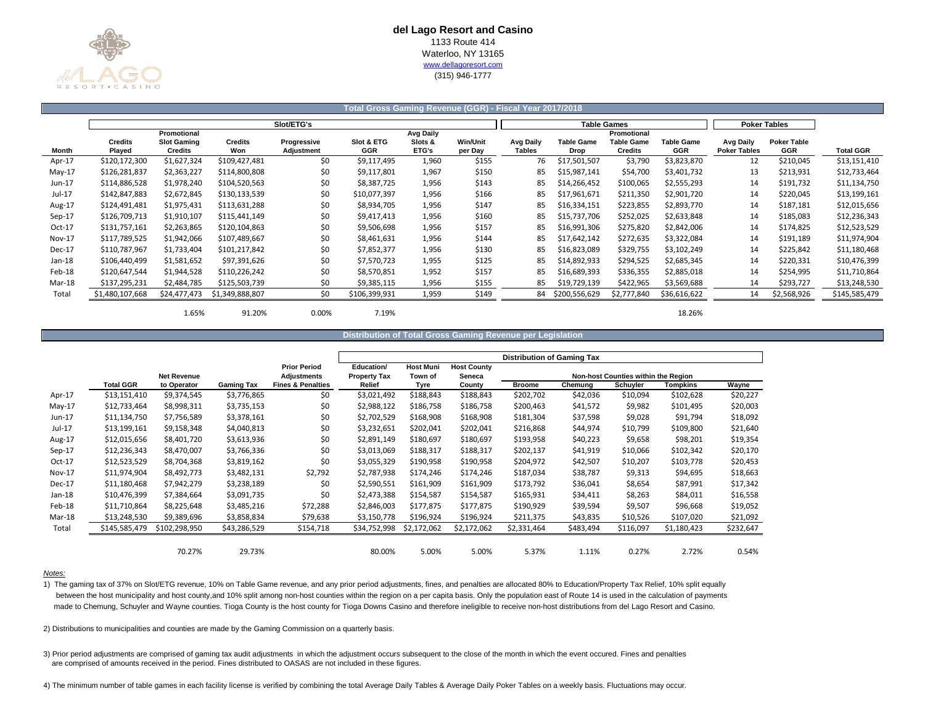

## **Total Gross Gaming Revenue (GGR) - Fiscal Year 2017/2018**

|               | Slot/ETG's               |                                      |                       |                           |                          |                  |                     |                            |                           | <b>Table Games</b>           | <b>Poker Tables</b>      |                                  |                                  |                  |
|---------------|--------------------------|--------------------------------------|-----------------------|---------------------------|--------------------------|------------------|---------------------|----------------------------|---------------------------|------------------------------|--------------------------|----------------------------------|----------------------------------|------------------|
|               |                          | Promotional                          |                       |                           |                          | <b>Avg Daily</b> |                     |                            |                           | Promotional                  |                          |                                  |                                  |                  |
| Month         | <b>Credits</b><br>Played | <b>Slot Gaming</b><br><b>Credits</b> | <b>Credits</b><br>Won | Progressive<br>Adjustment | Slot & ETG<br><b>GGR</b> | Slots &<br>ETG's | Win/Unit<br>per Day | Avg Daily<br><b>Tables</b> | <b>Table Game</b><br>Drop | <b>Table Game</b><br>Credits | <b>Table Game</b><br>GGR | Avg Daily<br><b>Poker Tables</b> | <b>Poker Table</b><br><b>GGR</b> | <b>Total GGR</b> |
|               |                          |                                      |                       |                           |                          |                  |                     |                            |                           |                              |                          |                                  |                                  |                  |
| Apr-17        | \$120,172,300            | \$1,627,324                          | \$109,427,481         | \$0                       | \$9,117,495              | 1,960            | \$155               | 76                         | \$17,501,507              | \$3,790                      | \$3,823,870              | 12                               | \$210,045                        | \$13,151,410     |
| $May-17$      | \$126,281,837            | \$2,363,227                          | \$114,800,808         | \$0                       | \$9,117,801              | 1,967            | \$150               | 85                         | \$15,987,141              | \$54,700                     | \$3,401,732              | 13                               | \$213,931                        | \$12,733,464     |
| Jun-17        | \$114,886,528            | \$1,978,240                          | \$104,520,563         | \$0                       | \$8,387,725              | 1,956            | \$143               | 85                         | \$14,266,452              | \$100,065                    | \$2,555,293              | 14                               | \$191,732                        | \$11,134,750     |
| $Jul-17$      | \$142,847,883            | \$2,672,845                          | \$130,133,539         | \$0                       | \$10,077,397             | 1,956            | \$166               | 85                         | \$17,961,671              | \$211,350                    | \$2,901,720              | 14                               | \$220,045                        | \$13,199,161     |
| Aug-17        | \$124,491,481            | \$1,975,431                          | \$113,631,288         | \$0                       | \$8,934,705              | 1,956            | \$147               | 85                         | \$16,334,151              | \$223,855                    | \$2,893,770              | 14                               | \$187,181                        | \$12,015,656     |
| $Sep-17$      | \$126,709,713            | \$1,910,107                          | \$115,441,149         | \$0                       | \$9,417,413              | 1,956            | \$160               | 85                         | \$15,737,706              | \$252,025                    | \$2,633,848              | 14                               | \$185,083                        | \$12,236,343     |
| Oct-17        | \$131,757,161            | \$2,263,865                          | \$120,104,863         | \$0                       | \$9,506,698              | 1,956            | \$157               | 85                         | \$16,991,306              | \$275,820                    | \$2,842,006              | 14                               | \$174,825                        | \$12,523,529     |
| <b>Nov-17</b> | \$117,789,525            | \$1,942,066                          | \$107,489,667         | \$0                       | \$8,461,631              | 1,956            | \$144               | 85                         | \$17,642,142              | \$272,635                    | \$3,322,084              | 14                               | \$191,189                        | \$11,974,904     |
| Dec-17        | \$110,787,967            | \$1,733,404                          | \$101,217,842         | \$0                       | \$7,852,377              | 1,956            | \$130               | 85                         | \$16,823,089              | \$329,755                    | \$3,102,249              | 14                               | \$225,842                        | \$11,180,468     |
| Jan-18        | \$106,440,499            | \$1,581,652                          | \$97,391,626          | \$0                       | \$7,570,723              | 1,955            | \$125               | 85                         | \$14,892,933              | \$294,525                    | \$2,685,345              | 14                               | \$220,331                        | \$10,476,399     |
| Feb-18        | \$120,647,544            | \$1,944,528                          | \$110,226,242         | \$0                       | \$8,570,851              | 1,952            | \$157               | 85                         | \$16,689,393              | \$336,355                    | \$2,885,018              | 14                               | \$254,995                        | \$11,710,864     |
| Mar-18        | \$137,295,231            | \$2,484,785                          | \$125,503,739         | \$0                       | \$9,385,115              | 1,956            | \$155               | 85                         | \$19,729,139              | \$422,965                    | \$3,569,688              | 14                               | \$293,727                        | \$13,248,530     |
| Total         | \$1,480,107,668          | \$24,477,473                         | \$1,349,888,807       | \$0                       | \$106,399,931            | 1,959            | \$149               | 84                         | \$200,556,629             | \$2,777,840                  | \$36,616,622             | 14                               | \$2,568,926                      | \$145,585,479    |
|               |                          |                                      |                       |                           |                          |                  |                     |                            |                           |                              |                          |                                  |                                  |                  |

1.65% 91.20% 0.00% 7.19% 18.26%

### **Distribution of Total Gross Gaming Revenue per Legislation**

|               |                  |                    |                   |                              |                     |                  |                    | <b>Distribution of Gaming Tax</b> |           |                                     |             |           |
|---------------|------------------|--------------------|-------------------|------------------------------|---------------------|------------------|--------------------|-----------------------------------|-----------|-------------------------------------|-------------|-----------|
|               |                  |                    |                   | <b>Prior Period</b>          | Education/          | <b>Host Muni</b> | <b>Host County</b> |                                   |           |                                     |             |           |
|               |                  | <b>Net Revenue</b> |                   | <b>Adjustments</b>           | <b>Property Tax</b> | Town of          | Seneca             |                                   |           | Non-host Counties within the Region |             |           |
|               | <b>Total GGR</b> | to Operator        | <b>Gaming Tax</b> | <b>Fines &amp; Penalties</b> | Relief              | Tyre             | County             | <b>Broome</b>                     | Chemung   | Schuyler                            | Tompkins    | Wayne     |
| Apr-17        | \$13,151,410     | \$9,374,545        | \$3,776,865       | \$0                          | \$3,021,492         | \$188,843        | \$188,843          | \$202,702                         | \$42,036  | \$10,094                            | \$102,628   | \$20,227  |
| $May-17$      | \$12,733,464     | \$8,998,311        | \$3,735,153       | \$0                          | \$2,988,122         | \$186,758        | \$186,758          | \$200,463                         | \$41,572  | \$9,982                             | \$101,495   | \$20,003  |
| Jun-17        | \$11,134,750     | \$7,756,589        | \$3,378,161       | \$0                          | \$2,702,529         | \$168,908        | \$168,908          | \$181,304                         | \$37,598  | \$9,028                             | \$91,794    | \$18,092  |
| Jul-17        | \$13,199,161     | \$9,158,348        | \$4,040,813       | \$0                          | \$3,232,651         | \$202,041        | \$202,041          | \$216,868                         | \$44,974  | \$10,799                            | \$109,800   | \$21,640  |
| Aug-17        | \$12,015,656     | \$8,401,720        | \$3,613,936       | \$0                          | \$2,891,149         | \$180,697        | \$180,697          | \$193,958                         | \$40,223  | \$9,658                             | \$98,201    | \$19,354  |
| $Sep-17$      | \$12,236,343     | \$8,470,007        | \$3,766,336       | \$0                          | \$3,013,069         | \$188,317        | \$188,317          | \$202,137                         | \$41,919  | \$10,066                            | \$102,342   | \$20,170  |
| Oct-17        | \$12,523,529     | \$8,704,368        | \$3,819,162       | \$0                          | \$3,055,329         | \$190,958        | \$190,958          | \$204,972                         | \$42,507  | \$10,207                            | \$103,778   | \$20,453  |
| <b>Nov-17</b> | \$11,974,904     | \$8,492,773        | \$3,482,131       | \$2,792                      | \$2,787,938         | \$174,246        | \$174,246          | \$187,034                         | \$38,787  | \$9,313                             | \$94,695    | \$18,663  |
| Dec-17        | \$11,180,468     | \$7,942,279        | \$3,238,189       | \$0                          | \$2,590,551         | \$161,909        | \$161,909          | \$173,792                         | \$36,041  | \$8,654                             | \$87,991    | \$17,342  |
| Jan-18        | \$10,476,399     | \$7,384,664        | \$3,091,735       | \$0                          | \$2,473,388         | \$154,587        | \$154,587          | \$165,931                         | \$34,411  | \$8,263                             | \$84,011    | \$16,558  |
| Feb-18        | \$11,710,864     | \$8,225,648        | \$3,485,216       | \$72,288                     | \$2,846,003         | \$177,875        | \$177,875          | \$190,929                         | \$39,594  | \$9,507                             | \$96,668    | \$19,052  |
| Mar-18        | \$13,248,530     | \$9,389,696        | \$3,858,834       | \$79,638                     | \$3,150,778         | \$196,924        | \$196,924          | \$211,375                         | \$43,835  | \$10,526                            | \$107,020   | \$21,092  |
| Total         | \$145,585,479    | \$102,298,950      | \$43,286,529      | \$154,718                    | \$34,752,998        | \$2,172,062      | \$2,172,062        | \$2,331,464                       | \$483,494 | \$116,097                           | \$1,180,423 | \$232,647 |
|               |                  |                    |                   |                              |                     |                  |                    |                                   |           |                                     |             |           |
|               |                  | 70.27%             | 29.73%            |                              | 80.00%              | 5.00%            | 5.00%              | 5.37%                             | 1.11%     | 0.27%                               | 2.72%       | 0.54%     |

### *Notes:*

1) The gaming tax of 37% on Slot/ETG revenue, 10% on Table Game revenue, and any prior period adjustments, fines, and penalties are allocated 80% to Education/Property Tax Relief, 10% split equally between the host municipality and host county,and 10% split among non-host counties within the region on a per capita basis. Only the population east of Route 14 is used in the calculation of payments made to Chemung, Schuyler and Wayne counties. Tioga County is the host county for Tioga Downs Casino and therefore ineligible to receive non-host distributions from del Lago Resort and Casino.

2) Distributions to municipalities and counties are made by the Gaming Commission on a quarterly basis.

3) Prior period adjustments are comprised of gaming tax audit adjustments in which the adjustment occurs subsequent to the close of the month in which the event occured. Fines and penalties are comprised of amounts received in the period. Fines distributed to OASAS are not included in these figures.

4) The minimum number of table games in each facility license is verified by combining the total Average Daily Tables & Average Daily Poker Tables on a weekly basis. Fluctuations may occur.